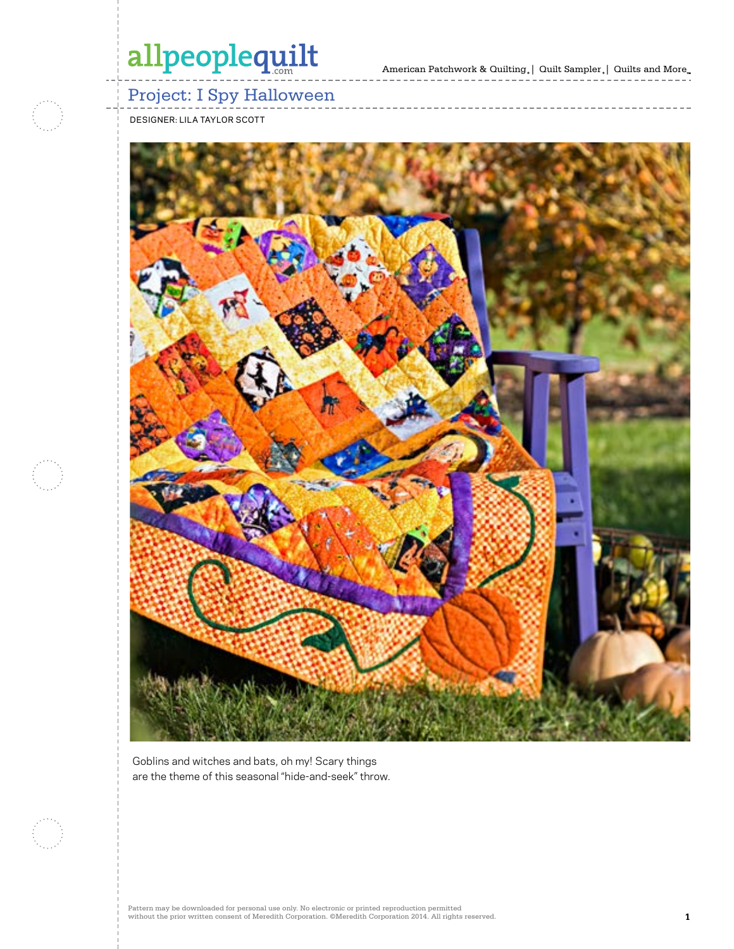American Patchwork & Quilting  $_{\circ}\left| \right.$  Quilt Sampler  $_{\circ}\left| \right.$  Quilts and More  $_{\circ\circ}$ 



### Project: I Spy Halloween

DESIGNER: LILA TAYLOR SCOTT



Goblins and witches and bats, oh my! Scary things are the theme of this seasonal "hide-and-seek" throw.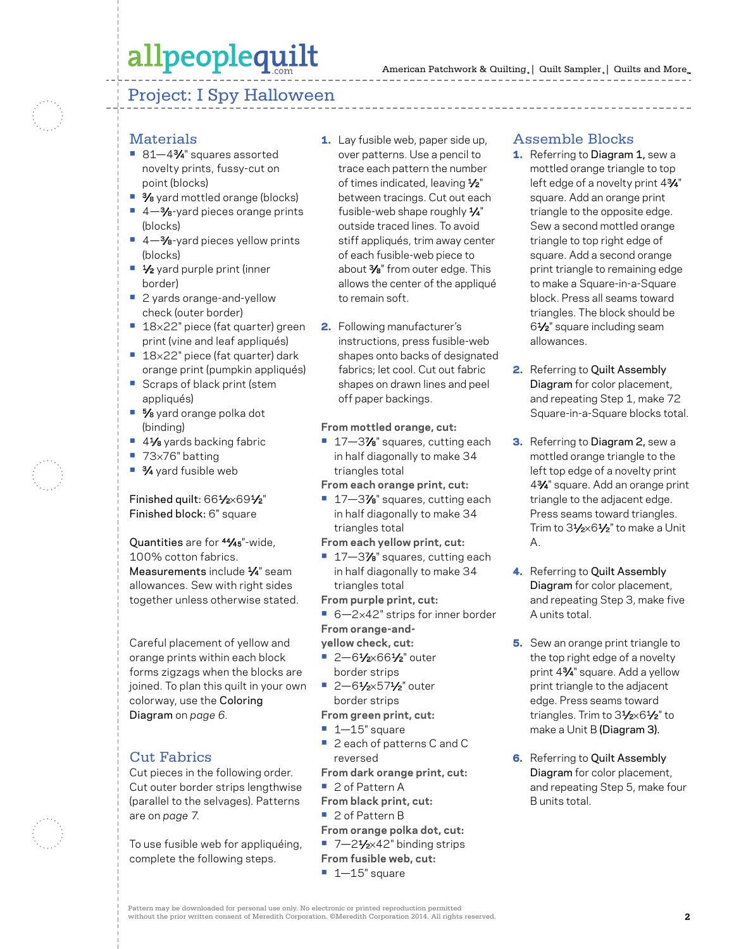### Project: I Spy Halloween

#### **Materials**

- **•** 81—43⁄4" squares assorted novelty prints, fussy-cut on point (blocks)
- **•** 3⁄8 yard mottled orange (blocks)
- **•** 4—3⁄8-yard pieces orange prints (blocks)
- 4–<sup>3</sup>⁄8-yard pieces yellow prints (blocks)
- **•** 1⁄2 yard purple print (inner border)
- **•** 2 yards orange-and-yellow check (outer border)
- **•** 18×22" piece (fat quarter) green print (vine and leaf appliqués)
- **•** 18×22" piece (fat quarter) dark orange print (pumpkin appliqués) **•** Scraps of black print (stem
- appliqués)
- **•** 5⁄8 yard orange polka dot (binding)
- **•** 41⁄8 yards backing fabric
- **•** 73×76" batting
- **•** 3⁄4 yard fusible web

#### Finished quilt: 661/2×691/2" Finished block: 6" square

Quantities are for 44⁄45"-wide, 100% cotton fabrics. Measurements include 1/4" seam allowances. Sew with right sides together unless otherwise stated.

Careful placement of yellow and orange prints within each block forms zigzags when the blocks are joined. To plan this quilt in your own colorway, use the Coloring Diagram on *page 6.*

#### Cut Fabrics

Cut pieces in the following order. Cut outer border strips lengthwise (parallel to the selvages). Patterns are on *page 7.*

To use fusible web for appliquéing, complete the following steps.

- 1. Lay fusible web, paper side up, over patterns. Use a pencil to trace each pattern the number of times indicated, leaving 1/2" between tracings. Cut out each fusible-web shape roughly 1⁄4" outside traced lines. To avoid stiff appliqués, trim away center of each fusible-web piece to about 3⁄8" from outer edge. This allows the center of the appliqué to remain soft.
- 2. Following manufacturer's instructions, press fusible-web shapes onto backs of designated fabrics; let cool. Cut out fabric shapes on drawn lines and peel off paper backings.

#### **From mottled orange, cut:**

- **•** 17—37⁄8" squares, cutting each in half diagonally to make 34 triangles total
- **From each orange print, cut:**
- 17–3% squares, cutting each in half diagonally to make 34 triangles total
- **From each yellow print, cut:**
- 17–3% squares, cutting each in half diagonally to make 34 triangles total

**From purple print, cut:**

■ 6-2×42" strips for inner border **From orange-and-**

**yellow check, cut:**

- **•** 2—61⁄2×661⁄2" outer border strips
- **•** 2—61⁄2×571⁄2" outer border strips
- **From green print, cut:**
- **•** 1—15" square
- **•** 2 each of patterns C and C reversed
- **From dark orange print, cut:**
- **•** 2 of Pattern A
- **From black print, cut:**
- **•** 2 of Pattern B
- **From orange polka dot, cut:**
- 7-21⁄<sub>2×42</sub>" binding strips
- **From fusible web, cut:**
	- **•** 1—15" square

#### Assemble Blocks

- 1. Referring to Diagram 1, sew a mottled orange triangle to top left edge of a novelty print 43/4" square. Add an orange print triangle to the opposite edge. Sew a second mottled orange triangle to top right edge of square. Add a second orange print triangle to remaining edge to make a Square-in-a-Square block. Press all seams toward triangles. The block should be 61⁄2" square including seam allowances.
- 2. Referring to Quilt Assembly Diagram for color placement, and repeating Step 1, make 72 Square-in-a-Square blocks total.
- **3.** Referring to Diagram 2, sew a mottled orange triangle to the left top edge of a novelty print 43⁄4" square. Add an orange print triangle to the adjacent edge. Press seams toward triangles. Trim to 31/2×61/2" to make a Unit A.
- 4. Referring to Quilt Assembly Diagram for color placement, and repeating Step 3, make five A units total.
- **5.** Sew an orange print triangle to the top right edge of a novelty print 43⁄4" square. Add a yellow print triangle to the adjacent edge. Press seams toward triangles. Trim to 31/2×61/2" to make a Unit B (Diagram 3).
- **6.** Referring to Quilt Assembly Diagram for color placement, and repeating Step 5, make four B units total.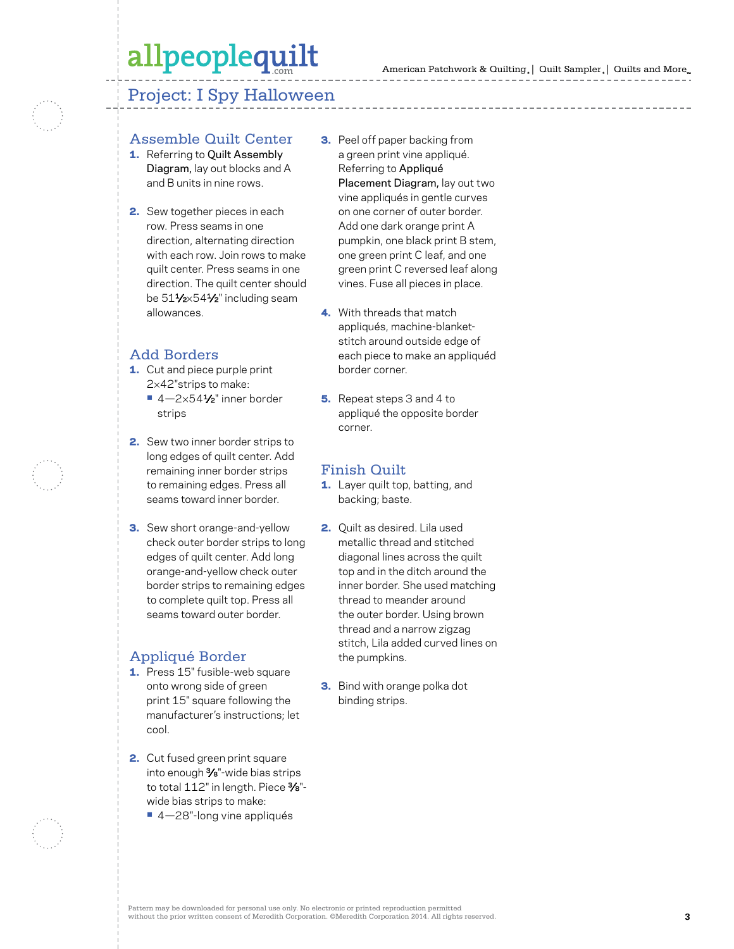#### Project: I Spy Halloween

#### Assemble Quilt Center

- 1. Referring to Quilt Assembly Diagram, lay out blocks and A and B units in nine rows.
- 2. Sew together pieces in each row. Press seams in one direction, alternating direction with each row. Join rows to make quilt center. Press seams in one direction. The quilt center should be 511/2×541/2" including seam allowances.

#### Add Borders

- 1. Cut and piece purple print 2×42"strips to make:
	- **•** 4—2×541⁄2" inner border strips
- 2. Sew two inner border strips to long edges of quilt center. Add remaining inner border strips to remaining edges. Press all seams toward inner border.
- **3.** Sew short orange-and-yellow check outer border strips to long edges of quilt center. Add long orange-and-yellow check outer border strips to remaining edges to complete quilt top. Press all seams toward outer border.

#### Appliqué Border

- 1. Press 15" fusible-web square onto wrong side of green print 15" square following the manufacturer's instructions; let cool.
- 2. Cut fused green print square into enough 3⁄8"-wide bias strips to total 112" in length. Piece 3/8"wide bias strips to make:
	- **•** 4—28"-long vine appliqués
- **3.** Peel off paper backing from a green print vine appliqué. Referring to Appliqué Placement Diagram, lay out two vine appliqués in gentle curves on one corner of outer border. Add one dark orange print A pumpkin, one black print B stem, one green print C leaf, and one green print C reversed leaf along vines. Fuse all pieces in place.
- 4. With threads that match appliqués, machine-blanketstitch around outside edge of each piece to make an appliquéd border corner.
- **5.** Repeat steps 3 and 4 to appliqué the opposite border corner.

#### Finish Quilt

- 1. Layer quilt top, batting, and backing; baste.
- 2. Quilt as desired. Lila used metallic thread and stitched diagonal lines across the quilt top and in the ditch around the inner border. She used matching thread to meander around the outer border. Using brown thread and a narrow zigzag stitch, Lila added curved lines on the pumpkins.
- 3. Bind with orange polka dot binding strips.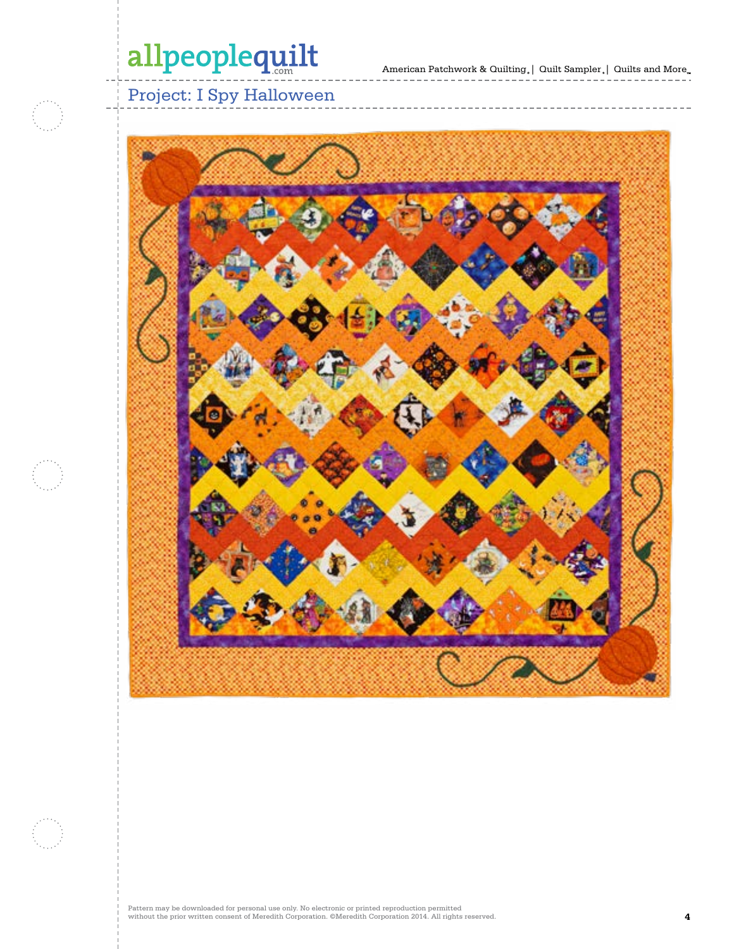

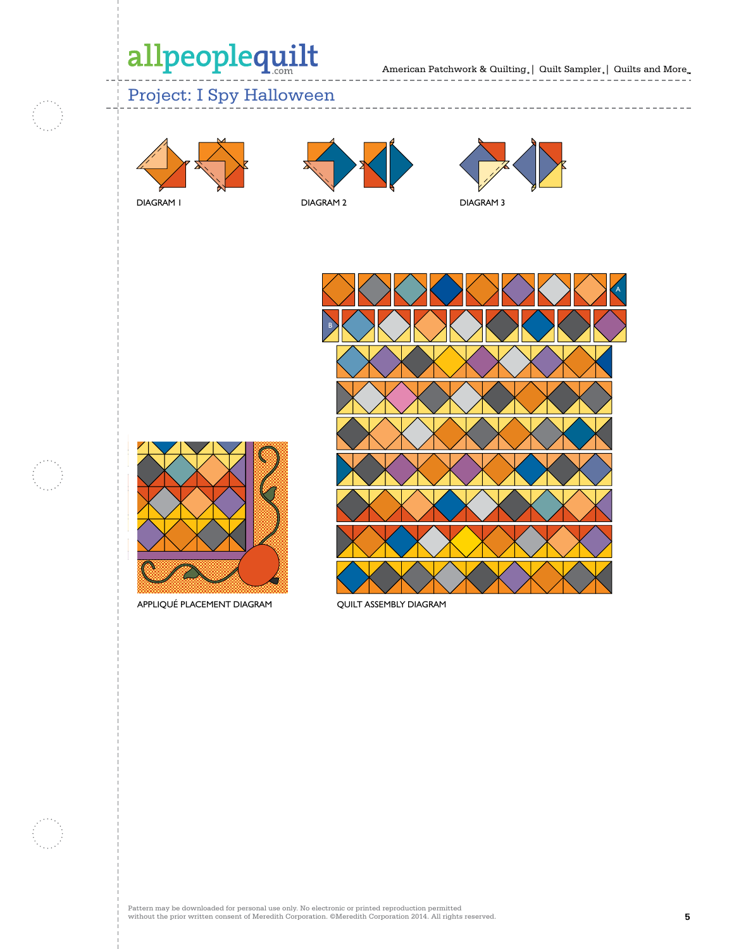American Patchwork & Quilting  $_{\circ}$  | Quilt Sampler  $_{\circ}$  | Quilts and More

### Project: I Spy Halloween



DIAGRAM 2



----------------





APPLIQUÉ PLACEMENT DIAGRAM

QUILT ASSEMBLY DIAGRAM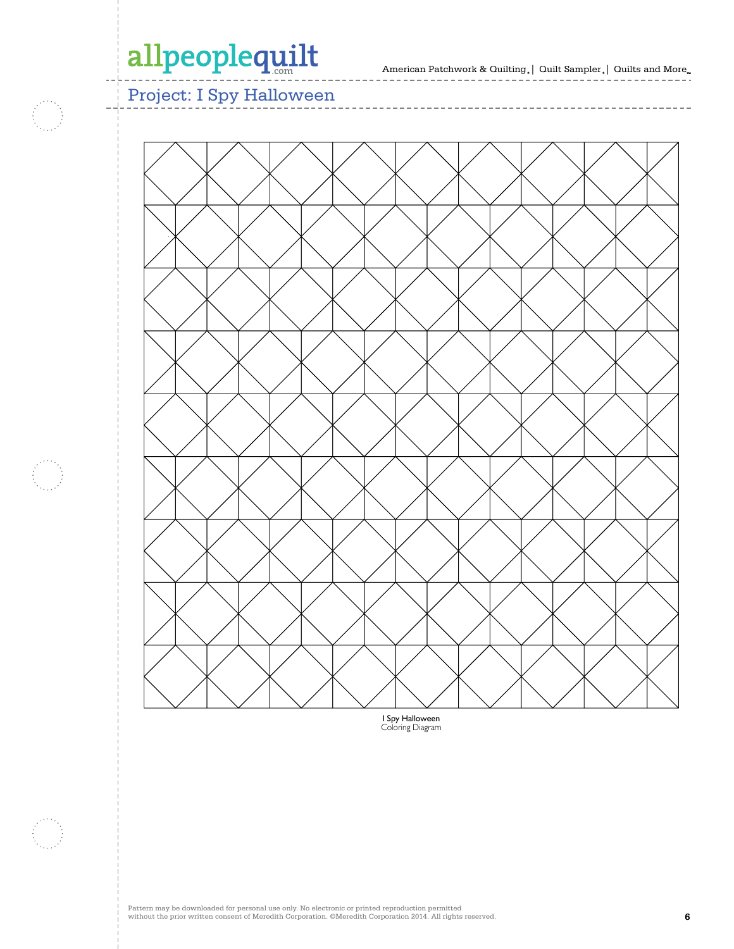f i

American Patchwork & Quilting  $_{\circ} \vert \;$  Quilt Sampler  $_{\circ} \vert \;$  Quilts and More  $_{\circ} \;$ 

\_\_\_\_\_\_\_\_\_\_\_\_\_\_

 $- - - - - \bar{ }$  $\frac{1}{2}$ 

 $- - - -$ 

Project: I Spy Halloween



----------------

 $-\ ---$ 

I Spy Halloween Coloring Diagram